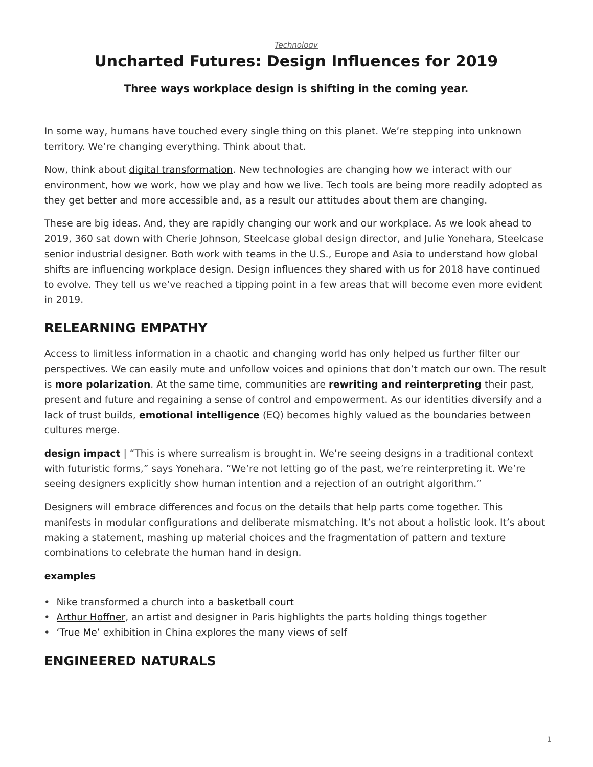#### *[Technology](https://www.steelcase.com/asia-en/research/topics/technology/)*

# **Uncharted Futures: Design Influences for 2019**

#### **Three ways workplace design is shifting in the coming year.**

In some way, humans have touched every single thing on this planet. We're stepping into unknown territory. We're changing everything. Think about that.

Now, think about [digital transformation.](https://www.steelcase.com/asia-en/research/articles/topics/technology/race-digitize/) New technologies are changing how we interact with our environment, how we work, how we play and how we live. Tech tools are being more readily adopted as they get better and more accessible and, as a result our attitudes about them are changing.

These are big ideas. And, they are rapidly changing our work and our workplace. As we look ahead to 2019, 360 sat down with Cherie Johnson, Steelcase global design director, and Julie Yonehara, Steelcase senior industrial designer. Both work with teams in the U.S., Europe and Asia to understand how global shifts are influencing workplace design. Design influences they shared with us for 2018 have continued to evolve. They tell us we've reached a tipping point in a few areas that will become even more evident in 2019.

### **RELEARNING EMPATHY**

Access to limitless information in a chaotic and changing world has only helped us further filter our perspectives. We can easily mute and unfollow voices and opinions that don't match our own. The result is **more polarization**. At the same time, communities are **rewriting and reinterpreting** their past, present and future and regaining a sense of control and empowerment. As our identities diversify and a lack of trust builds, **emotional intelligence** (EQ) becomes highly valued as the boundaries between cultures merge.

**design impact** | "This is where surrealism is brought in. We're seeing designs in a traditional context with futuristic forms," says Yonehara. "We're not letting go of the past, we're reinterpreting it. We're seeing designers explicitly show human intention and a rejection of an outright algorithm."

Designers will embrace differences and focus on the details that help parts come together. This manifests in modular configurations and deliberate mismatching. It's not about a holistic look. It's about making a statement, mashing up material choices and the fragmentation of pattern and texture combinations to celebrate the human hand in design.

#### **examples**

- Nike transformed a church into a [basketball court](https://www.designboom.com/architecture/nike-just-do-it-hq-chicago-08-17-2018/)
- [Arthur Hoffner,](http://www.arthurhoffner.fr/) an artist and designer in Paris highlights the parts holding things together
- True Me' exhibition in China explores the many views of self

### **ENGINEERED NATURALS**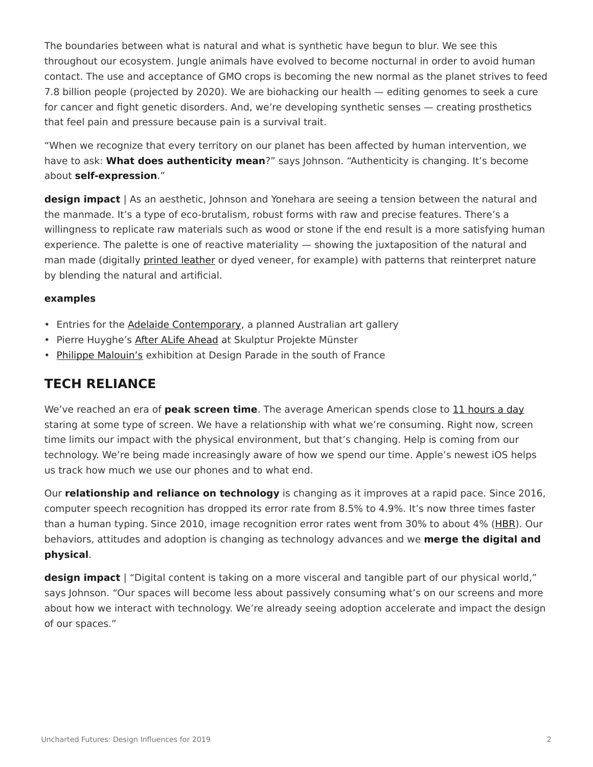The boundaries between what is natural and what is synthetic have begun to blur. We see this throughout our ecosystem. Jungle animals have evolved to become nocturnal in order to avoid human contact. The use and acceptance of GMO crops is becoming the new normal as the planet strives to feed 7.8 billion people (projected by 2020). We are biohacking our health — editing genomes to seek a cure for cancer and fight genetic disorders. And, we're developing synthetic senses — creating prosthetics that feel pain and pressure because pain is a survival trait.

"When we recognize that every territory on our planet has been affected by human intervention, we have to ask: **What does authenticity mean**?" says Johnson. "Authenticity is changing. It's become about **self-expression**."

**design impact** | As an aesthetic, Johnson and Yonehara are seeing a tension between the natural and the manmade. It's a type of eco-brutalism, robust forms with raw and precise features. There's a willingness to replicate raw materials such as wood or stone if the end result is a more satisfying human experience. The palette is one of reactive materiality — showing the juxtaposition of the natural and man made (digitally [printed leather](https://www.designboom.com/design/bill-amberg-digitally-printed-leather-faye-toogood-tom-dixon-08-02-2018/) or dyed veneer, for example) with patterns that reinterpret nature by blending the natural and artificial.

#### **examples**

- Entries for the [Adelaide Contemporary](https://www.designboom.com/architecture/adelaide-contemporary-art-gallery-australia-adjaye-big-chipperfield-dsr-05-14-2018/), a planned Australian art gallery
- Pierre Huyghe's [After ALife Ahead](http://www.artnews.com/2017/06/26/constant-displacement-pierre-huyghe-on-his-work-at-skulptur-projekte-munster-2017/) at Skulptur Projekte Münster
- [Philippe Malouin's](https://www.sightunseen.com/2018/07/design-parade-villa-noailles-philippe-malouin-pierre-yovanovitch/) exhibition at Design Parade in the south of France

## **TECH RELIANCE**

We've reached an era of **peak screen time**. The average American spends close to [11 hours a day](https://www.cnn.com/2016/06/30/health/americans-screen-time-nielsen/index.html) staring at some type of screen. We have a relationship with what we're consuming. Right now, screen time limits our impact with the physical environment, but that's changing. Help is coming from our technology. We're being made increasingly aware of how we spend our time. Apple's newest iOS helps us track how much we use our phones and to what end.

Our **relationship and reliance on technology** is changing as it improves at a rapid pace. Since 2016, computer speech recognition has dropped its error rate from 8.5% to 4.9%. It's now three times faster than a human typing. Since 2010, image recognition error rates went from 30% to about 4% [\(HBR](https://hbr.org/cover-story/2017/07/the-business-of-artificial-intelligence)). Our behaviors, attitudes and adoption is changing as technology advances and we **merge the digital and physical**.

**design impact** | "Digital content is taking on a more visceral and tangible part of our physical world," says Johnson. "Our spaces will become less about passively consuming what's on our screens and more about how we interact with technology. We're already seeing adoption accelerate and impact the design of our spaces."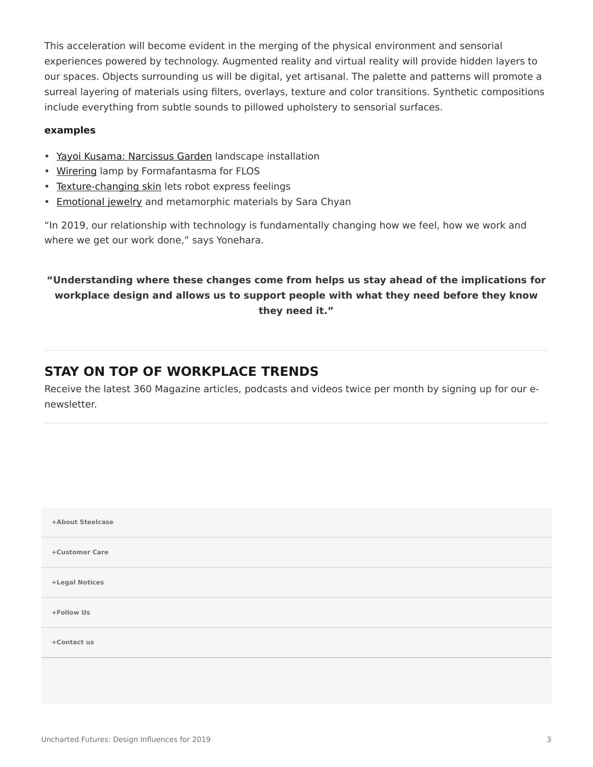This acceleration will become evident in the merging of the physical environment and sensorial experiences powered by technology. Augmented reality and virtual reality will provide hidden layers to our spaces. Objects surrounding us will be digital, yet artisanal. The palette and patterns will promote a surreal layering of materials using filters, overlays, texture and color transitions. Synthetic compositions include everything from subtle sounds to pillowed upholstery to sensorial surfaces.

#### **examples**

- [Yayoi Kusama: Narcissus Garden](http://theglasshouse.org/whats-on/yayoi-kusama-narcissus-garden/) landscape installation
- [Wirering](https://flos.com/products/wall-ceiling/wirering/wirering-white/) lamp by Formafantasma for FLOS
- [Texture-changing skin](https://mobile.thearchitectureinsight.com/tv/architecture-TV/texture-changing-skin-lets-robot-express-its-feelings) lets robot express feelings
- [Emotional jewelry](https://www.materialdriven.com/home/2018/1/9/of-emotional-jewelry-and-metamorphic-materials-by-sara-chyan) and metamorphic materials by Sara Chyan

"In 2019, our relationship with technology is fundamentally changing how we feel, how we work and where we get our work done," says Yonehara.

### **"Understanding where these changes come from helps us stay ahead of the implications for workplace design and allows us to support people with what they need before they know they need it."**

### **STAY ON TOP OF WORKPLACE TRENDS**

Receive the latest 360 Magazine articles, podcasts and videos twice per month by signing up for our enewsletter.

| +About Steelcase |  |
|------------------|--|
| +Customer Care   |  |
| +Legal Notices   |  |
| +Follow Us       |  |
| +Contact us      |  |
|                  |  |